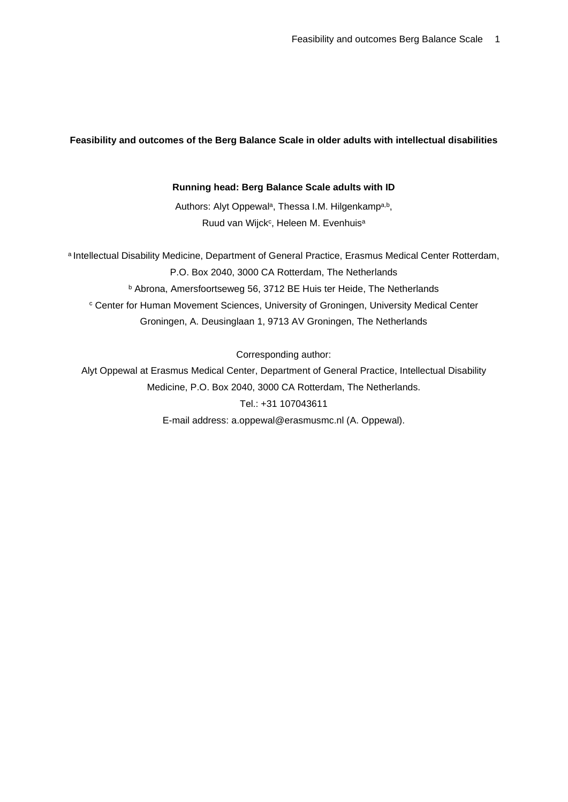# **Feasibility and outcomes of the Berg Balance Scale in older adults with intellectual disabilities**

## **Running head: Berg Balance Scale adults with ID**

Authors: Alyt Oppewal<sup>a</sup>, Thessa I.M. Hilgenkampa,b, Ruud van Wijck<sup>c</sup>, Heleen M. Evenhuis<sup>a</sup>

a Intellectual Disability Medicine, Department of General Practice, Erasmus Medical Center Rotterdam, P.O. Box 2040, 3000 CA Rotterdam, The Netherlands <sup>b</sup> Abrona, Amersfoortseweg 56, 3712 BE Huis ter Heide, The Netherlands <sup>c</sup> Center for Human Movement Sciences, University of Groningen, University Medical Center Groningen, A. Deusinglaan 1, 9713 AV Groningen, The Netherlands

Corresponding author:

Alyt Oppewal at Erasmus Medical Center, Department of General Practice, Intellectual Disability Medicine, P.O. Box 2040, 3000 CA Rotterdam, The Netherlands. Tel.: +31 107043611 E-mail address: a.oppewal@erasmusmc.nl (A. Oppewal).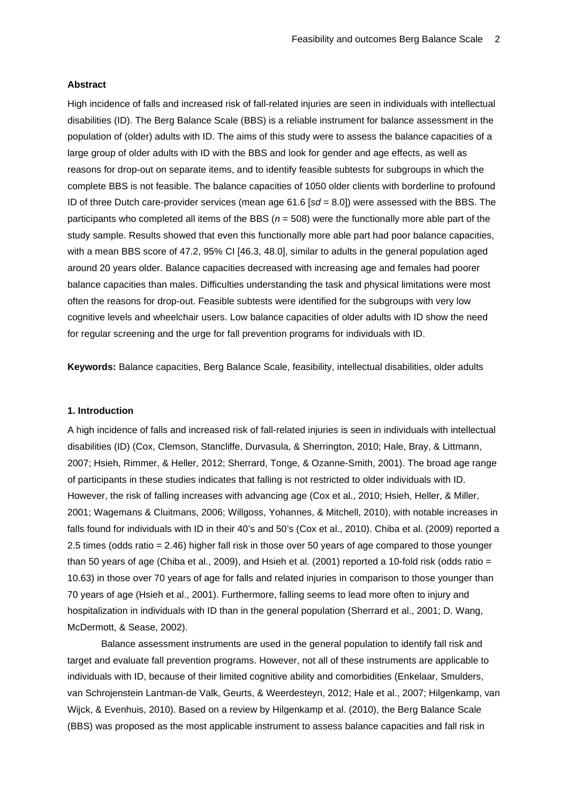#### **Abstract**

High incidence of falls and increased risk of fall-related injuries are seen in individuals with intellectual disabilities (ID). The Berg Balance Scale (BBS) is a reliable instrument for balance assessment in the population of (older) adults with ID. The aims of this study were to assess the balance capacities of a large group of older adults with ID with the BBS and look for gender and age effects, as well as reasons for drop-out on separate items, and to identify feasible subtests for subgroups in which the complete BBS is not feasible. The balance capacities of 1050 older clients with borderline to profound ID of three Dutch care-provider services (mean age 61.6 [*sd* = 8.0]) were assessed with the BBS. The participants who completed all items of the BBS (*n* = 508) were the functionally more able part of the study sample. Results showed that even this functionally more able part had poor balance capacities, with a mean BBS score of 47.2, 95% CI [46.3, 48.0], similar to adults in the general population aged around 20 years older. Balance capacities decreased with increasing age and females had poorer balance capacities than males. Difficulties understanding the task and physical limitations were most often the reasons for drop-out. Feasible subtests were identified for the subgroups with very low cognitive levels and wheelchair users. Low balance capacities of older adults with ID show the need for regular screening and the urge for fall prevention programs for individuals with ID.

**Keywords:** Balance capacities, Berg Balance Scale, feasibility, intellectual disabilities, older adults

# **1. Introduction**

A high incidence of falls and increased risk of fall-related injuries is seen in individuals with intellectual disabilities (ID) [\(Cox, Clemson, Stancliffe, Durvasula, & Sherrington, 2010;](#page-14-0) [Hale, Bray, & Littmann,](#page-14-1)  [2007;](#page-14-1) [Hsieh, Rimmer, & Heller, 2012;](#page-15-0) [Sherrard, Tonge, & Ozanne-Smith, 2001\)](#page-15-1). The broad age range of participants in these studies indicates that falling is not restricted to older individuals with ID. However, the risk of falling increases with advancing age [\(Cox et al., 2010;](#page-14-0) [Hsieh, Heller, & Miller,](#page-15-2)  [2001;](#page-15-2) [Wagemans & Cluitmans, 2006;](#page-15-3) [Willgoss, Yohannes, & Mitchell, 2010\)](#page-15-4), with notable increases in falls found for individuals with ID in their 40's and 50's [\(Cox et al., 2010\)](#page-14-0). Chiba et al. (2009) reported a 2.5 times (odds ratio = 2.46) higher fall risk in those over 50 years of age compared to those younger than 50 years of age [\(Chiba et al., 2009\)](#page-13-0), and Hsieh et al. (2001) reported a 10-fold risk (odds ratio = 10.63) in those over 70 years of age for falls and related injuries in comparison to those younger than 70 years of age [\(Hsieh et al., 2001\)](#page-15-2). Furthermore, falling seems to lead more often to injury and hospitalization in individuals with ID than in the general population [\(Sherrard et al., 2001;](#page-15-1) [D. Wang,](#page-15-5)  [McDermott, & Sease, 2002\)](#page-15-5).

Balance assessment instruments are used in the general population to identify fall risk and target and evaluate fall prevention programs. However, not all of these instruments are applicable to individuals with ID, because of their limited cognitive ability and comorbidities [\(Enkelaar, Smulders,](#page-14-2)  [van Schrojenstein Lantman-de Valk, Geurts, & Weerdesteyn, 2012;](#page-14-2) [Hale et al., 2007;](#page-14-1) [Hilgenkamp, van](#page-15-6)  [Wijck, & Evenhuis, 2010\)](#page-15-6). Based on a review by Hilgenkamp et al. (2010), the Berg Balance Scale (BBS) was proposed as the most applicable instrument to assess balance capacities and fall risk in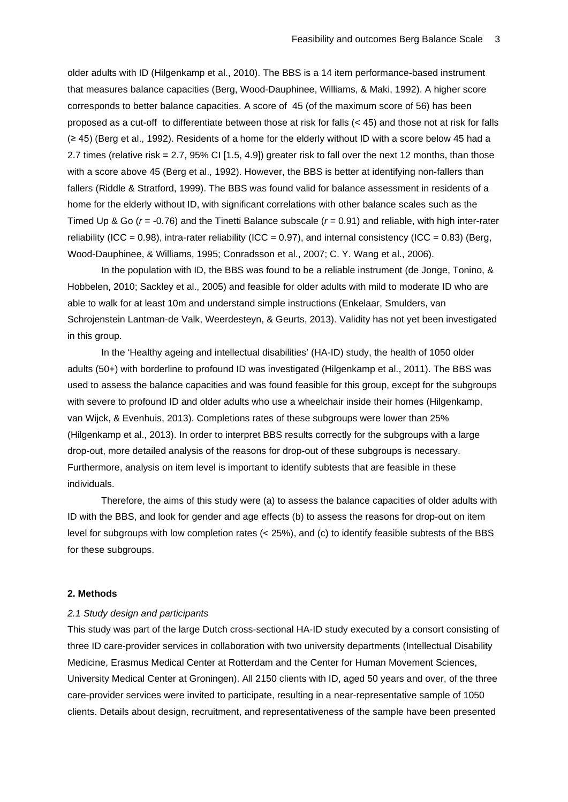older adults with ID [\(Hilgenkamp et al., 2010\)](#page-15-6). The BBS is a 14 item performance-based instrument that measures balance capacities [\(Berg, Wood-Dauphinee, Williams, & Maki, 1992\)](#page-13-1). A higher score corresponds to better balance capacities. A score of 45 (of the maximum score of 56) has been proposed as a cut-off to differentiate between those at risk for falls (< 45) and those not at risk for falls (≥ 45) [\(Berg et al., 1992\)](#page-13-1). Residents of a home for the elderly without ID with a score below 45 had a 2.7 times (relative risk = 2.7, 95% CI [1.5, 4.9]) greater risk to fall over the next 12 months, than those with a score above 45 [\(Berg et al., 1992\)](#page-13-1). However, the BBS is better at identifying non-fallers than fallers [\(Riddle & Stratford, 1999\)](#page-15-7). The BBS was found valid for balance assessment in residents of a home for the elderly without ID, with significant correlations with other balance scales such as the Timed Up & Go (*r* = -0.76) and the Tinetti Balance subscale (*r* = 0.91) and reliable, with high inter-rater reliability (ICC = 0.98), intra-rater reliability (ICC = 0.97), and internal consistency (ICC = 0.83) (Berg, [Wood-Dauphinee, & Williams, 1995;](#page-13-2) [Conradsson et al.,](#page-13-3) 2007; [C. Y. Wang et al., 2006\)](#page-15-8).

In the population with ID, the BBS was found to be a reliable instrument [\(de Jonge, Tonino, &](#page-14-3)  [Hobbelen, 2010;](#page-14-3) [Sackley et al., 2005\)](#page-15-9) and feasible for older adults with mild to moderate ID who are able to walk for at least 10m and understand simple instructions [\(Enkelaar, Smulders, van](#page-14-4)  [Schrojenstein Lantman-de Valk, Weerdesteyn, & Geurts, 2013\)](#page-14-4). Validity has not yet been investigated in this group.

In the 'Healthy ageing and intellectual disabilities' (HA-ID) study, the health of 1050 older adults (50+) with borderline to profound ID was investigated [\(Hilgenkamp et al., 2011\)](#page-14-5). The BBS was used to assess the balance capacities and was found feasible for this group, except for the subgroups with severe to profound ID and older adults who use a wheelchair inside their homes [\(Hilgenkamp,](#page-15-10)  [van Wijck, & Evenhuis, 2013\)](#page-15-10). Completions rates of these subgroups were lower than 25% [\(Hilgenkamp et al., 2013\)](#page-15-10). In order to interpret BBS results correctly for the subgroups with a large drop-out, more detailed analysis of the reasons for drop-out of these subgroups is necessary. Furthermore, analysis on item level is important to identify subtests that are feasible in these individuals.

Therefore, the aims of this study were (a) to assess the balance capacities of older adults with ID with the BBS, and look for gender and age effects (b) to assess the reasons for drop-out on item level for subgroups with low completion rates (< 25%), and (c) to identify feasible subtests of the BBS for these subgroups.

### **2. Methods**

### *2.1 Study design and participants*

This study was part of the large Dutch cross-sectional HA-ID study executed by a consort consisting of three ID care-provider services in collaboration with two university departments (Intellectual Disability Medicine, Erasmus Medical Center at Rotterdam and the Center for Human Movement Sciences, University Medical Center at Groningen). All 2150 clients with ID, aged 50 years and over, of the three care-provider services were invited to participate, resulting in a near-representative sample of 1050 clients. Details about design, recruitment, and representativeness of the sample have been presented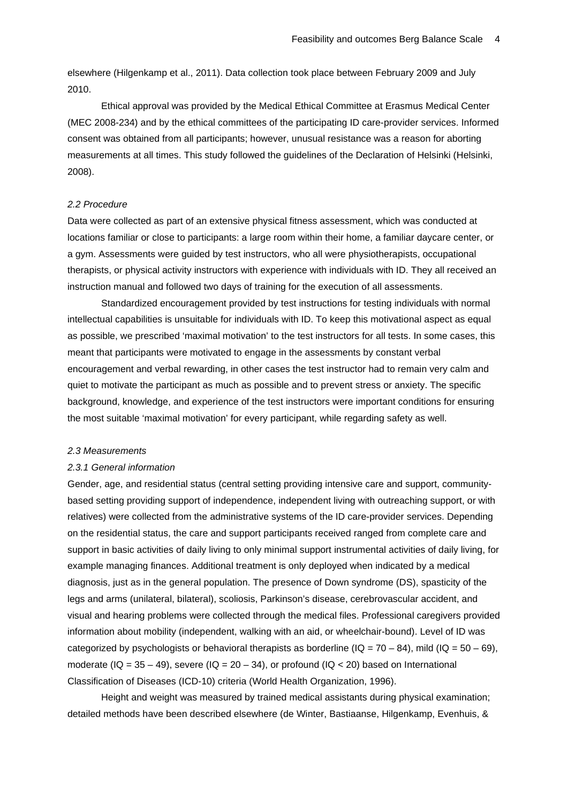elsewhere [\(Hilgenkamp et al., 2011\)](#page-14-5). Data collection took place between February 2009 and July 2010.

Ethical approval was provided by the Medical Ethical Committee at Erasmus Medical Center (MEC 2008-234) and by the ethical committees of the participating ID care-provider services. Informed consent was obtained from all participants; however, unusual resistance was a reason for aborting measurements at all times. This study followed the guidelines of the Declaration of Helsinki [\(Helsinki,](#page-14-6)  [2008\)](#page-14-6).

# *2.2 Procedure*

Data were collected as part of an extensive physical fitness assessment, which was conducted at locations familiar or close to participants: a large room within their home, a familiar daycare center, or a gym. Assessments were guided by test instructors, who all were physiotherapists, occupational therapists, or physical activity instructors with experience with individuals with ID. They all received an instruction manual and followed two days of training for the execution of all assessments.

Standardized encouragement provided by test instructions for testing individuals with normal intellectual capabilities is unsuitable for individuals with ID. To keep this motivational aspect as equal as possible, we prescribed 'maximal motivation' to the test instructors for all tests. In some cases, this meant that participants were motivated to engage in the assessments by constant verbal encouragement and verbal rewarding, in other cases the test instructor had to remain very calm and quiet to motivate the participant as much as possible and to prevent stress or anxiety. The specific background, knowledge, and experience of the test instructors were important conditions for ensuring the most suitable 'maximal motivation' for every participant, while regarding safety as well.

#### *2.3 Measurements*

#### *2.3.1 General information*

Gender, age, and residential status (central setting providing intensive care and support, communitybased setting providing support of independence, independent living with outreaching support, or with relatives) were collected from the administrative systems of the ID care-provider services. Depending on the residential status, the care and support participants received ranged from complete care and support in basic activities of daily living to only minimal support instrumental activities of daily living, for example managing finances. Additional treatment is only deployed when indicated by a medical diagnosis, just as in the general population. The presence of Down syndrome (DS), spasticity of the legs and arms (unilateral, bilateral), scoliosis, Parkinson's disease, cerebrovascular accident, and visual and hearing problems were collected through the medical files. Professional caregivers provided information about mobility (independent, walking with an aid, or wheelchair-bound). Level of ID was categorized by psychologists or behavioral therapists as borderline ( $IQ = 70 - 84$ ), mild ( $IQ = 50 - 69$ ), moderate ( $IQ = 35 - 49$ ), severe ( $IQ = 20 - 34$ ), or profound ( $IQ < 20$ ) based on International Classification of Diseases (ICD-10) criteria [\(World Health Organization, 1996\)](#page-16-0).

Height and weight was measured by trained medical assistants during physical examination; detailed methods have been described elsewhere [\(de Winter, Bastiaanse, Hilgenkamp, Evenhuis, &](#page-14-7)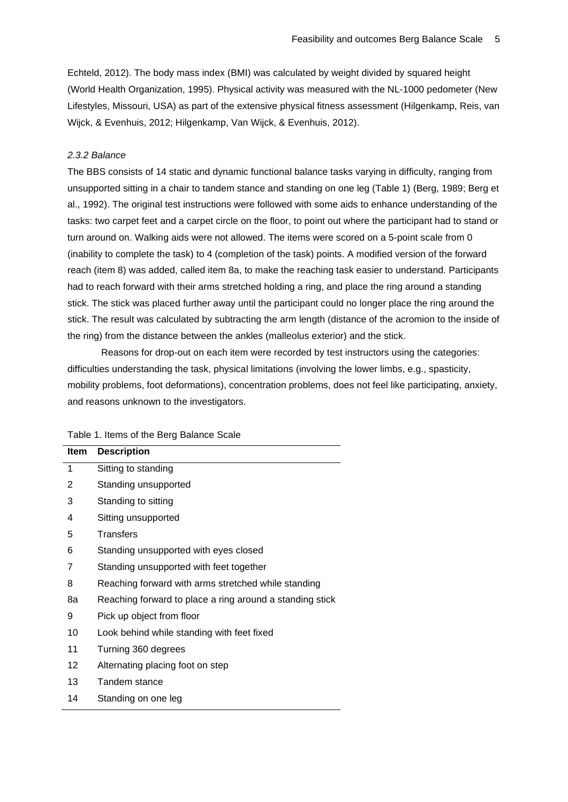[Echteld, 2012\)](#page-14-7). The body mass index (BMI) was calculated by weight divided by squared height [\(World Health Organization, 1995\)](#page-16-1). Physical activity was measured with the NL-1000 pedometer (New Lifestyles, Missouri, USA) as part of the extensive physical fitness assessment [\(Hilgenkamp, Reis, van](#page-14-8)  [Wijck, & Evenhuis, 2012;](#page-14-8) [Hilgenkamp, Van Wijck, & Evenhuis, 2012\)](#page-14-9).

# *2.3.2 Balance*

The BBS consists of 14 static and dynamic functional balance tasks varying in difficulty, ranging from unsupported sitting in a chair to tandem stance and standing on one leg (Table 1) [\(Berg, 1989;](#page-13-4) [Berg et](#page-13-1)  [al., 1992\)](#page-13-1). The original test instructions were followed with some aids to enhance understanding of the tasks: two carpet feet and a carpet circle on the floor, to point out where the participant had to stand or turn around on. Walking aids were not allowed. The items were scored on a 5-point scale from 0 (inability to complete the task) to 4 (completion of the task) points. A modified version of the forward reach (item 8) was added, called item 8a, to make the reaching task easier to understand. Participants had to reach forward with their arms stretched holding a ring, and place the ring around a standing stick. The stick was placed further away until the participant could no longer place the ring around the stick. The result was calculated by subtracting the arm length (distance of the acromion to the inside of the ring) from the distance between the ankles (malleolus exterior) and the stick.

Reasons for drop-out on each item were recorded by test instructors using the categories: difficulties understanding the task, physical limitations (involving the lower limbs, e.g., spasticity, mobility problems, foot deformations), concentration problems, does not feel like participating, anxiety, and reasons unknown to the investigators.

| ltem | <b>Description</b>                                       |
|------|----------------------------------------------------------|
| 1    | Sitting to standing                                      |
| 2    | Standing unsupported                                     |
| 3    | Standing to sitting                                      |
| 4    | Sitting unsupported                                      |
| 5    | Transfers                                                |
| 6    | Standing unsupported with eyes closed                    |
| 7    | Standing unsupported with feet together                  |
| 8    | Reaching forward with arms stretched while standing      |
| 8a   | Reaching forward to place a ring around a standing stick |
| 9    | Pick up object from floor                                |
| 10   | Look behind while standing with feet fixed               |
| 11   | Turning 360 degrees                                      |
| 12   | Alternating placing foot on step                         |
| 13   | Tandem stance                                            |
| 14   | Standing on one leg                                      |

Table 1. Items of the Berg Balance Scale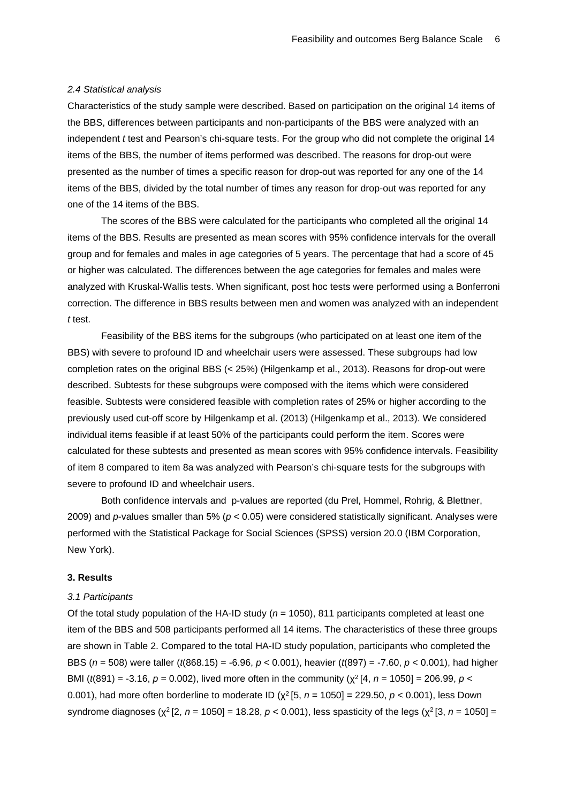## *2.4 Statistical analysis*

Characteristics of the study sample were described. Based on participation on the original 14 items of the BBS, differences between participants and non-participants of the BBS were analyzed with an independent *t* test and Pearson's chi-square tests. For the group who did not complete the original 14 items of the BBS, the number of items performed was described. The reasons for drop-out were presented as the number of times a specific reason for drop-out was reported for any one of the 14 items of the BBS, divided by the total number of times any reason for drop-out was reported for any one of the 14 items of the BBS.

The scores of the BBS were calculated for the participants who completed all the original 14 items of the BBS. Results are presented as mean scores with 95% confidence intervals for the overall group and for females and males in age categories of 5 years. The percentage that had a score of 45 or higher was calculated. The differences between the age categories for females and males were analyzed with Kruskal-Wallis tests. When significant, post hoc tests were performed using a Bonferroni correction. The difference in BBS results between men and women was analyzed with an independent *t* test.

Feasibility of the BBS items for the subgroups (who participated on at least one item of the BBS) with severe to profound ID and wheelchair users were assessed. These subgroups had low completion rates on the original BBS (< 25%) [\(Hilgenkamp et al., 2013\)](#page-15-10). Reasons for drop-out were described. Subtests for these subgroups were composed with the items which were considered feasible. Subtests were considered feasible with completion rates of 25% or higher according to the previously used cut-off score by Hilgenkamp et al. (2013) [\(Hilgenkamp et al., 2013\)](#page-15-10). We considered individual items feasible if at least 50% of the participants could perform the item. Scores were calculated for these subtests and presented as mean scores with 95% confidence intervals. Feasibility of item 8 compared to item 8a was analyzed with Pearson's chi-square tests for the subgroups with severe to profound ID and wheelchair users.

Both confidence intervals and p-values are reported [\(du Prel, Hommel, Rohrig, & Blettner,](#page-14-10)  [2009\)](#page-14-10) and *p*-values smaller than 5% (*p* < 0.05) were considered statistically significant. Analyses were performed with the Statistical Package for Social Sciences (SPSS) version 20.0 (IBM Corporation, New York).

## **3. Results**

#### *3.1 Participants*

Of the total study population of the HA-ID study (*n* = 1050), 811 participants completed at least one item of the BBS and 508 participants performed all 14 items. The characteristics of these three groups are shown in Table 2. Compared to the total HA-ID study population, participants who completed the BBS (*n* = 508) were taller (*t*(868.15) = -6.96, *p* < 0.001), heavier (*t*(897) = -7.60, *p* < 0.001), had higher BMI (*t*(891) = -3.16, *p* = 0.002), lived more often in the community (χ2 [4, *n* = 1050] = 206.99, *p <* 0.001), had more often borderline to moderate ID (χ2 [5, *n* = 1050] = 229.50, *p <* 0.001), less Down syndrome diagnoses (χ<sup>2</sup> [2, *n* = 1050] = 18.28, *p* < 0.001), less spasticity of the legs (χ<sup>2</sup> [3, *n* = 1050] =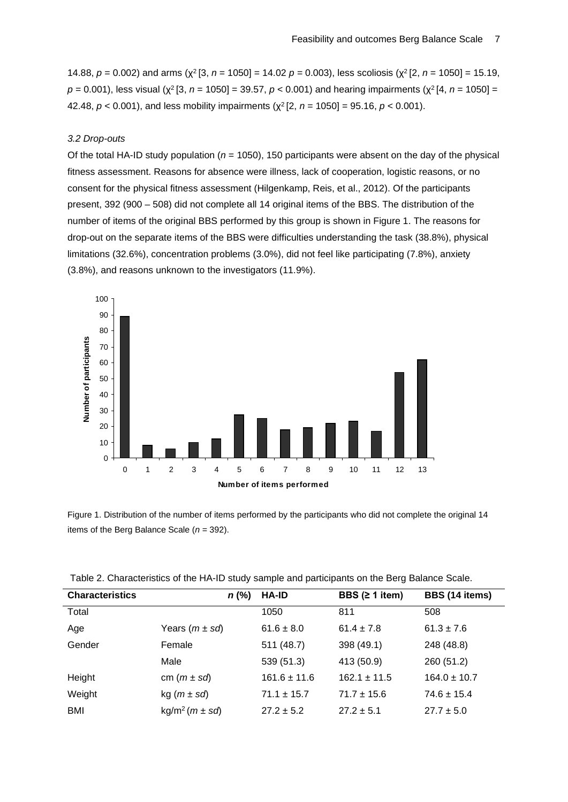14.88, *p =* 0.002) and arms (χ2 [3, *n* = 1050] = 14.02 *p =* 0.003), less scoliosis (χ2 [2, *n* = 1050] = 15.19, *p =* 0.001), less visual (χ2 [3, *n* = 1050] = 39.57, *p <* 0.001) and hearing impairments (χ2 [4, *n* = 1050] = 42.48, *p <* 0.001), and less mobility impairments (χ2 [2, *n* = 1050] = 95.16, *p <* 0.001).

### *3.2 Drop-outs*

Of the total HA-ID study population ( $n = 1050$ ), 150 participants were absent on the day of the physical fitness assessment. Reasons for absence were illness, lack of cooperation, logistic reasons, or no consent for the physical fitness assessment [\(Hilgenkamp, Reis, et al., 2012\)](#page-14-8). Of the participants present, 392 (900 – 508) did not complete all 14 original items of the BBS. The distribution of the number of items of the original BBS performed by this group is shown in Figure 1. The reasons for drop-out on the separate items of the BBS were difficulties understanding the task (38.8%), physical limitations (32.6%), concentration problems (3.0%), did not feel like participating (7.8%), anxiety (3.8%), and reasons unknown to the investigators (11.9%).



Figure 1. Distribution of the number of items performed by the participants who did not complete the original 14 items of the Berg Balance Scale (*n* = 392).

| <b>Characteristics</b> | $n$ (%)                        | <b>HA-ID</b>     | BBS $(≥ 1$ item) | BBS (14 items)   |
|------------------------|--------------------------------|------------------|------------------|------------------|
| Total                  |                                | 1050             | 811              | 508              |
| Age                    | Years $(m \pm s d)$            | $61.6 \pm 8.0$   | $61.4 \pm 7.8$   | $61.3 \pm 7.6$   |
| Gender                 | Female                         | 511 (48.7)       | 398 (49.1)       | 248 (48.8)       |
|                        | Male                           | 539(51.3)        | 413 (50.9)       | 260 (51.2)       |
| Height                 | cm $(m \pm sd)$                | $161.6 \pm 11.6$ | $162.1 \pm 11.5$ | $164.0 \pm 10.7$ |
| Weight                 | kg $(m \pm sd)$                | $71.1 \pm 15.7$  | $71.7 \pm 15.6$  | $74.6 \pm 15.4$  |
| <b>BMI</b>             | kg/m <sup>2</sup> $(m \pm sd)$ | $27.2 \pm 5.2$   | $27.2 \pm 5.1$   | $27.7 \pm 5.0$   |

Table 2. Characteristics of the HA-ID study sample and participants on the Berg Balance Scale.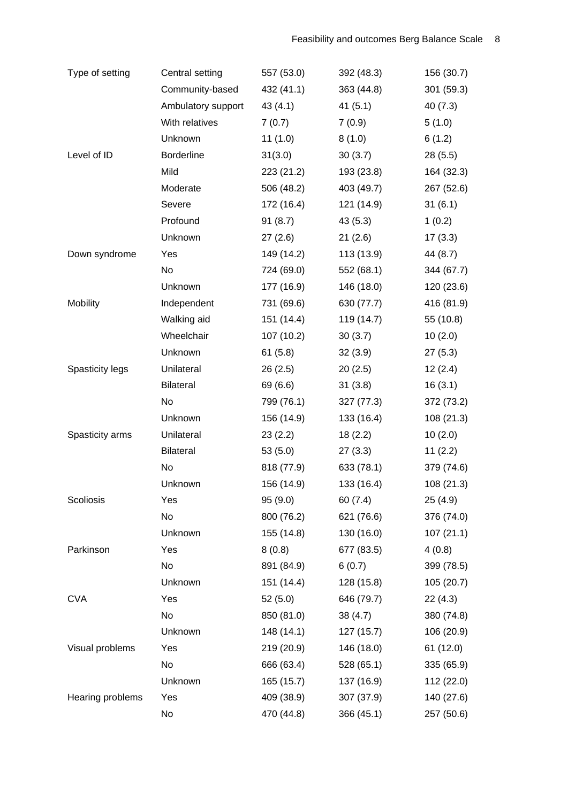| Type of setting        | Central setting    | 557 (53.0) | 392 (48.3) | 156 (30.7) |
|------------------------|--------------------|------------|------------|------------|
|                        | Community-based    | 432 (41.1) | 363 (44.8) | 301 (59.3) |
|                        | Ambulatory support | 43(4.1)    | 41(5.1)    | 40(7.3)    |
|                        | With relatives     | 7(0.7)     | 7(0.9)     | 5(1.0)     |
|                        | Unknown            | 11(1.0)    | 8(1.0)     | 6(1.2)     |
| Level of ID            | <b>Borderline</b>  | 31(3.0)    | 30(3.7)    | 28(5.5)    |
|                        | Mild               | 223(21.2)  | 193 (23.8) | 164 (32.3) |
|                        | Moderate           | 506 (48.2) | 403 (49.7) | 267 (52.6) |
|                        | Severe             | 172 (16.4) | 121 (14.9) | 31(6.1)    |
|                        | Profound           | 91(8.7)    | 43(5.3)    | 1(0.2)     |
|                        | Unknown            | 27(2.6)    | 21(2.6)    | 17(3.3)    |
| Down syndrome          | Yes                | 149 (14.2) | 113 (13.9) | 44 (8.7)   |
|                        | No                 | 724 (69.0) | 552 (68.1) | 344 (67.7) |
|                        | Unknown            | 177 (16.9) | 146 (18.0) | 120 (23.6) |
| Mobility               | Independent        | 731 (69.6) | 630 (77.7) | 416 (81.9) |
|                        | Walking aid        | 151 (14.4) | 119 (14.7) | 55 (10.8)  |
|                        | Wheelchair         | 107(10.2)  | 30(3.7)    | 10(2.0)    |
|                        | Unknown            | 61(5.8)    | 32(3.9)    | 27(5.3)    |
| <b>Spasticity legs</b> | Unilateral         | 26(2.5)    | 20(2.5)    | 12(2.4)    |
|                        | <b>Bilateral</b>   | 69 (6.6)   | 31(3.8)    | 16(3.1)    |
|                        | No                 | 799 (76.1) | 327 (77.3) | 372 (73.2) |
|                        | Unknown            | 156 (14.9) | 133 (16.4) | 108(21.3)  |
| Spasticity arms        | Unilateral         | 23(2.2)    | 18(2.2)    | 10(2.0)    |
|                        | <b>Bilateral</b>   | 53(5.0)    | 27(3.3)    | 11(2.2)    |
|                        | No                 | 818 (77.9) | 633 (78.1) | 379 (74.6) |
|                        | Unknown            | 156 (14.9) | 133 (16.4) | 108 (21.3) |
| Scoliosis              | Yes                | 95(9.0)    | 60(7.4)    | 25(4.9)    |
|                        | No                 | 800 (76.2) | 621 (76.6) | 376 (74.0) |
|                        | Unknown            | 155 (14.8) | 130 (16.0) | 107(21.1)  |
| Parkinson              | Yes                | 8(0.8)     | 677 (83.5) | 4(0.8)     |
|                        | No                 | 891 (84.9) | 6(0.7)     | 399 (78.5) |
|                        | Unknown            | 151 (14.4) | 128 (15.8) | 105(20.7)  |
| <b>CVA</b>             | Yes                | 52(5.0)    | 646 (79.7) | 22(4.3)    |
|                        | No                 | 850 (81.0) | 38(4.7)    | 380 (74.8) |
|                        | Unknown            | 148 (14.1) | 127(15.7)  | 106 (20.9) |
| Visual problems        | Yes                | 219(20.9)  | 146 (18.0) | 61(12.0)   |
|                        | No                 | 666 (63.4) | 528 (65.1) | 335 (65.9) |
|                        | Unknown            | 165 (15.7) | 137 (16.9) | 112 (22.0) |
| Hearing problems       | Yes                | 409 (38.9) | 307 (37.9) | 140 (27.6) |
|                        | No                 | 470 (44.8) | 366 (45.1) | 257 (50.6) |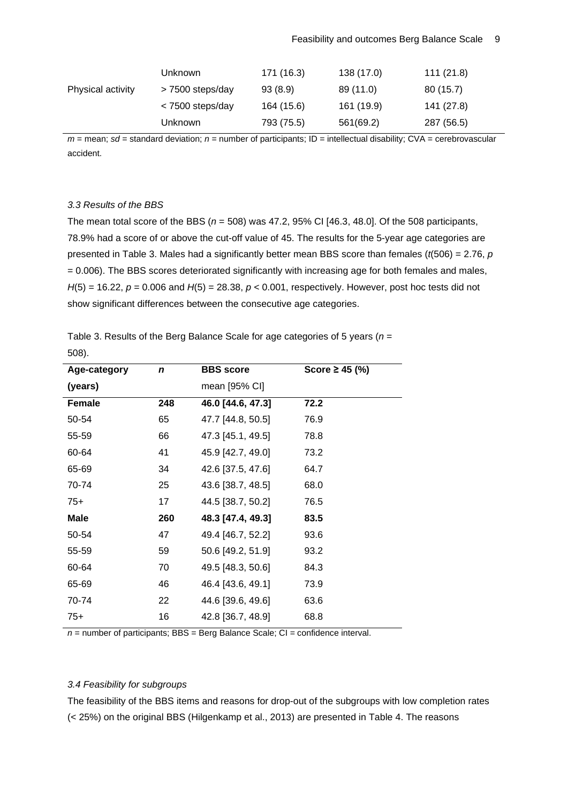|                   | <b>Unknown</b>   | 171 (16.3) | 138 (17.0) | 111 (21.8) |
|-------------------|------------------|------------|------------|------------|
| Physical activity | > 7500 steps/day | 93(8.9)    | 89 (11.0)  | 80 (15.7)  |
|                   | < 7500 steps/day | 164 (15.6) | 161 (19.9) | 141 (27.8) |
|                   | <b>Unknown</b>   | 793 (75.5) | 561(69.2)  | 287 (56.5) |

*m* = mean; *sd* = standard deviation; *n* = number of participants; ID = intellectual disability; CVA = cerebrovascular accident.

# *3.3 Results of the BBS*

The mean total score of the BBS (*n* = 508) was 47.2, 95% CI [46.3, 48.0]. Of the 508 participants, 78.9% had a score of or above the cut-off value of 45. The results for the 5-year age categories are presented in Table 3. Males had a significantly better mean BBS score than females (*t*(506) = 2.76, *p* = 0.006). The BBS scores deteriorated significantly with increasing age for both females and males, *H*(5) = 16.22, *p =* 0.006 and *H*(5) = 28.38, *p <* 0.001, respectively. However, post hoc tests did not show significant differences between the consecutive age categories.

Table 3. Results of the Berg Balance Scale for age categories of 5 years (*n* = 508).

| Age-category | n   | <b>BBS</b> score  | Score ≥ 45 $(%)$ |
|--------------|-----|-------------------|------------------|
| (years)      |     | mean [95% CI]     |                  |
| Female       | 248 | 46.0 [44.6, 47.3] | 72.2             |
| 50-54        | 65  | 47.7 [44.8, 50.5] | 76.9             |
| 55-59        | 66  | 47.3 [45.1, 49.5] | 78.8             |
| 60-64        | 41  | 45.9 [42.7, 49.0] | 73.2             |
| 65-69        | 34  | 42.6 [37.5, 47.6] | 64.7             |
| 70-74        | 25  | 43.6 [38.7, 48.5] | 68.0             |
| $75+$        | 17  | 44.5 [38.7, 50.2] | 76.5             |
| <b>Male</b>  | 260 | 48.3 [47.4, 49.3] | 83.5             |
| 50-54        | 47  | 49.4 [46.7, 52.2] | 93.6             |
| 55-59        | 59  | 50.6 [49.2, 51.9] | 93.2             |
| 60-64        | 70  | 49.5 [48.3, 50.6] | 84.3             |
| 65-69        | 46  | 46.4 [43.6, 49.1] | 73.9             |
| 70-74        | 22  | 44.6 [39.6, 49.6] | 63.6             |
| $75+$        | 16  | 42.8 [36.7, 48.9] | 68.8             |

*n* = number of participants; BBS = Berg Balance Scale; CI = confidence interval.

# *3.4 Feasibility for subgroups*

The feasibility of the BBS items and reasons for drop-out of the subgroups with low completion rates (< 25%) on the original BBS [\(Hilgenkamp et al., 2013\)](#page-15-10) are presented in Table 4. The reasons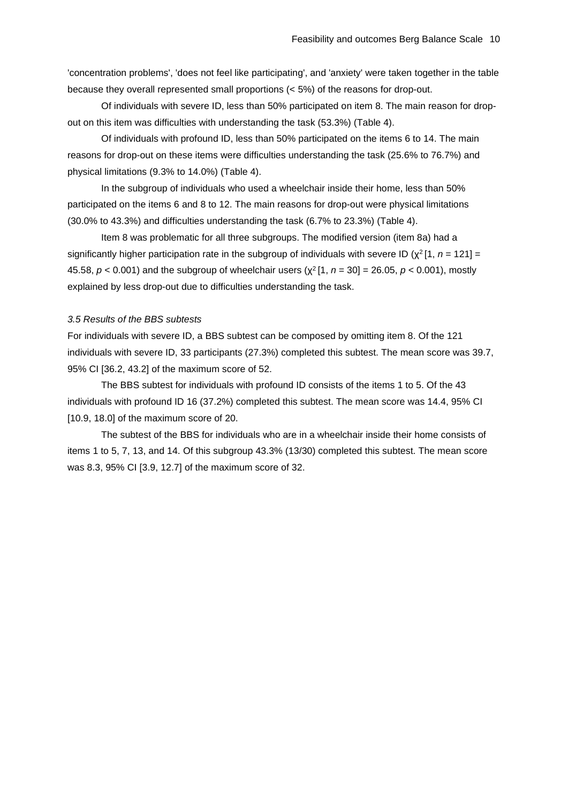'concentration problems', 'does not feel like participating', and 'anxiety' were taken together in the table because they overall represented small proportions (< 5%) of the reasons for drop-out.

Of individuals with severe ID, less than 50% participated on item 8. The main reason for dropout on this item was difficulties with understanding the task (53.3%) (Table 4).

Of individuals with profound ID, less than 50% participated on the items 6 to 14. The main reasons for drop-out on these items were difficulties understanding the task (25.6% to 76.7%) and physical limitations (9.3% to 14.0%) (Table 4).

In the subgroup of individuals who used a wheelchair inside their home, less than 50% participated on the items 6 and 8 to 12. The main reasons for drop-out were physical limitations (30.0% to 43.3%) and difficulties understanding the task (6.7% to 23.3%) (Table 4).

Item 8 was problematic for all three subgroups. The modified version (item 8a) had a significantly higher participation rate in the subgroup of individuals with severe ID ( $\chi^2$  [1, *n* = 121] = 45.58, *p <* 0.001) and the subgroup of wheelchair users (χ2 [1, *n* = 30] = 26.05, *p <* 0.001), mostly explained by less drop-out due to difficulties understanding the task.

# *3.5 Results of the BBS subtests*

For individuals with severe ID, a BBS subtest can be composed by omitting item 8. Of the 121 individuals with severe ID, 33 participants (27.3%) completed this subtest. The mean score was 39.7, 95% CI [36.2, 43.2] of the maximum score of 52.

The BBS subtest for individuals with profound ID consists of the items 1 to 5. Of the 43 individuals with profound ID 16 (37.2%) completed this subtest. The mean score was 14.4, 95% CI [10.9, 18.0] of the maximum score of 20.

The subtest of the BBS for individuals who are in a wheelchair inside their home consists of items 1 to 5, 7, 13, and 14. Of this subgroup 43.3% (13/30) completed this subtest. The mean score was 8.3, 95% CI [3.9, 12.7] of the maximum score of 32.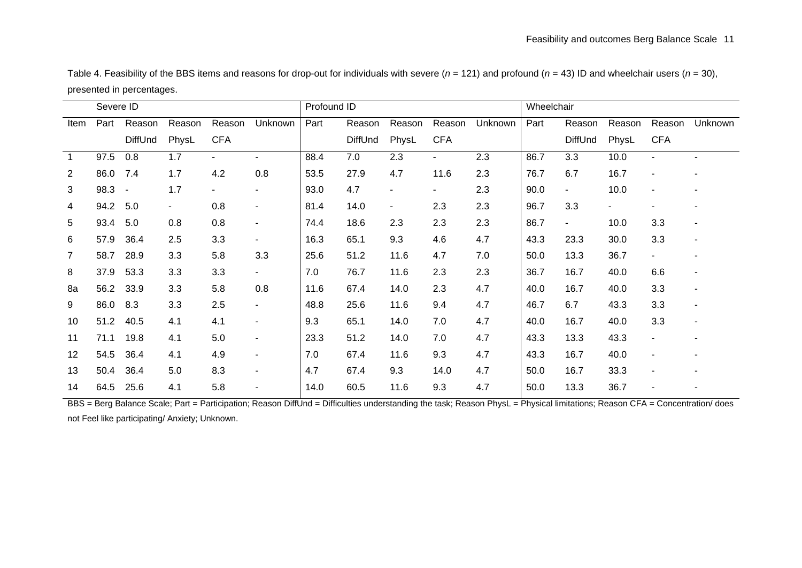Table 4. Feasibility of the BBS items and reasons for drop-out for individuals with severe ( $n = 121$ ) and profound ( $n = 43$ ) ID and wheelchair users ( $n = 30$ ), presented in percentages.

|                 | Severe ID |                |        |                | Profound ID              |      |         |                | Wheelchair     |         |      |                |        |                |                          |
|-----------------|-----------|----------------|--------|----------------|--------------------------|------|---------|----------------|----------------|---------|------|----------------|--------|----------------|--------------------------|
| Item            | Part      | Reason         | Reason | Reason         | Unknown                  | Part | Reason  | Reason         | Reason         | Unknown | Part | Reason         | Reason | Reason         | Unknown                  |
|                 |           | DiffUnd        | PhysL  | <b>CFA</b>     |                          |      | DiffUnd | PhysL          | <b>CFA</b>     |         |      | <b>DiffUnd</b> | PhysL  | <b>CFA</b>     |                          |
| $\overline{1}$  | 97.5      | 0.8            | 1.7    | $\sim$         | $\overline{\phantom{0}}$ | 88.4 | 7.0     | 2.3            | $\blacksquare$ | 2.3     | 86.7 | 3.3            | 10.0   | $\blacksquare$ |                          |
| 2               | 86.0      | 7.4            | 1.7    | 4.2            | 0.8                      | 53.5 | 27.9    | 4.7            | 11.6           | 2.3     | 76.7 | 6.7            | 16.7   |                |                          |
| 3               | 98.3      | $\blacksquare$ | 1.7    | $\blacksquare$ | ۰.                       | 93.0 | 4.7     | $\blacksquare$ | ٠              | 2.3     | 90.0 | $\blacksquare$ | 10.0   | $\blacksquare$ |                          |
| 4               | 94.2      | 5.0            |        | 0.8            |                          | 81.4 | 14.0    | $\blacksquare$ | 2.3            | 2.3     | 96.7 | 3.3            |        |                |                          |
| $5\overline{)}$ | 93.4      | 5.0            | 0.8    | 0.8            | $\blacksquare$           | 74.4 | 18.6    | 2.3            | 2.3            | 2.3     | 86.7 | $\blacksquare$ | 10.0   | 3.3            |                          |
| 6               | 57.9      | 36.4           | 2.5    | 3.3            | Ξ.                       | 16.3 | 65.1    | 9.3            | 4.6            | 4.7     | 43.3 | 23.3           | 30.0   | 3.3            | ٠                        |
| 7               | 58.7      | 28.9           | 3.3    | 5.8            | 3.3                      | 25.6 | 51.2    | 11.6           | 4.7            | 7.0     | 50.0 | 13.3           | 36.7   | $\blacksquare$ |                          |
| 8               | 37.9      | 53.3           | 3.3    | 3.3            | $\overline{\phantom{0}}$ | 7.0  | 76.7    | 11.6           | 2.3            | 2.3     | 36.7 | 16.7           | 40.0   | 6.6            |                          |
| 8a              | 56.2      | 33.9           | 3.3    | 5.8            | 0.8                      | 11.6 | 67.4    | 14.0           | 2.3            | 4.7     | 40.0 | 16.7           | 40.0   | 3.3            | $\overline{\phantom{a}}$ |
| 9               | 86.0      | 8.3            | 3.3    | 2.5            | $\blacksquare$           | 48.8 | 25.6    | 11.6           | 9.4            | 4.7     | 46.7 | 6.7            | 43.3   | 3.3            | ٠                        |
| 10              | 51.2      | 40.5           | 4.1    | 4.1            | $\blacksquare$           | 9.3  | 65.1    | 14.0           | 7.0            | 4.7     | 40.0 | 16.7           | 40.0   | 3.3            | ٠                        |
| 11              | 71.1      | 19.8           | 4.1    | 5.0            | $\blacksquare$           | 23.3 | 51.2    | 14.0           | 7.0            | 4.7     | 43.3 | 13.3           | 43.3   | $\blacksquare$ |                          |
| 12              | 54.5      | 36.4           | 4.1    | 4.9            | $\blacksquare$           | 7.0  | 67.4    | 11.6           | 9.3            | 4.7     | 43.3 | 16.7           | 40.0   | $\overline{a}$ |                          |
| 13              | 50.4      | 36.4           | 5.0    | 8.3            | $\blacksquare$           | 4.7  | 67.4    | 9.3            | 14.0           | 4.7     | 50.0 | 16.7           | 33.3   | $\blacksquare$ |                          |
| 14              | 64.5      | 25.6           | 4.1    | 5.8            | $\blacksquare$           | 14.0 | 60.5    | 11.6           | 9.3            | 4.7     | 50.0 | 13.3           | 36.7   |                |                          |

BBS = Berg Balance Scale; Part = Participation; Reason DiffUnd = Difficulties understanding the task; Reason PhysL = Physical limitations; Reason CFA = Concentration/ does not Feel like participating/ Anxiety; Unknown.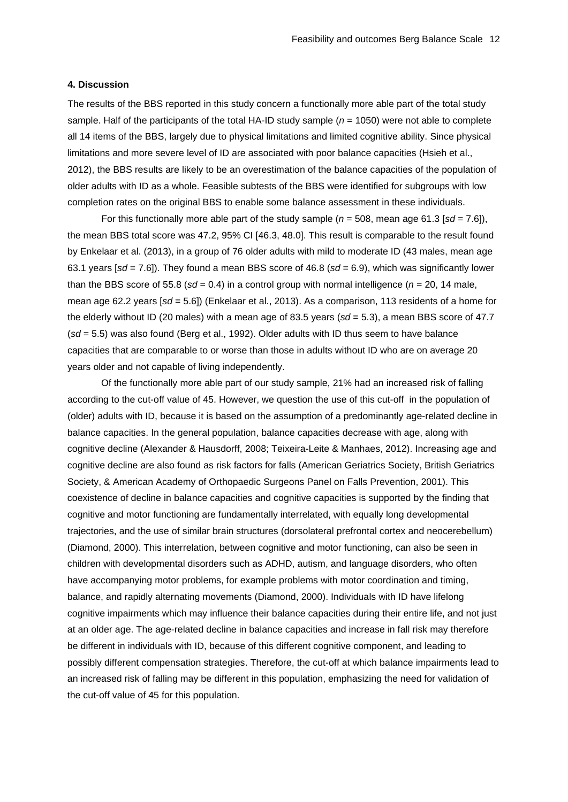#### **4. Discussion**

The results of the BBS reported in this study concern a functionally more able part of the total study sample. Half of the participants of the total HA-ID study sample (*n* = 1050) were not able to complete all 14 items of the BBS, largely due to physical limitations and limited cognitive ability. Since physical limitations and more severe level of ID are associated with poor balance capacities [\(Hsieh et al.,](#page-15-0)  [2012\)](#page-15-0), the BBS results are likely to be an overestimation of the balance capacities of the population of older adults with ID as a whole. Feasible subtests of the BBS were identified for subgroups with low completion rates on the original BBS to enable some balance assessment in these individuals.

For this functionally more able part of the study sample ( $n = 508$ , mean age 61.3 [sd = 7.6]), the mean BBS total score was 47.2, 95% CI [46.3, 48.0]. This result is comparable to the result found by Enkelaar et al. (2013), in a group of 76 older adults with mild to moderate ID (43 males, mean age 63.1 years [*sd* = 7.6]). They found a mean BBS score of 46.8 (*sd* = 6.9), which was significantly lower than the BBS score of 55.8 ( $sd = 0.4$ ) in a control group with normal intelligence ( $n = 20$ , 14 male, mean age 62.2 years [*sd* = 5.6]) [\(Enkelaar et al., 2013\)](#page-14-4). As a comparison, 113 residents of a home for the elderly without ID (20 males) with a mean age of 83.5 years (*sd* = 5.3), a mean BBS score of 47.7 (*sd* = 5.5) was also found [\(Berg et al., 1992\)](#page-13-1). Older adults with ID thus seem to have balance capacities that are comparable to or worse than those in adults without ID who are on average 20 years older and not capable of living independently.

Of the functionally more able part of our study sample, 21% had an increased risk of falling according to the cut-off value of 45. However, we question the use of this cut-off in the population of (older) adults with ID, because it is based on the assumption of a predominantly age-related decline in balance capacities. In the general population, balance capacities decrease with age, along with cognitive decline [\(Alexander & Hausdorff, 2008;](#page-13-5) [Teixeira-Leite & Manhaes, 2012\)](#page-15-11). Increasing age and cognitive decline are also found as risk factors for falls [\(American Geriatrics Society, British Geriatrics](#page-13-6)  [Society, & American Academy of Orthopaedic Surgeons Panel on Falls Prevention, 2001\)](#page-13-6). This coexistence of decline in balance capacities and cognitive capacities is supported by the finding that cognitive and motor functioning are fundamentally interrelated, with equally long developmental trajectories, and the use of similar brain structures (dorsolateral prefrontal cortex and neocerebellum) [\(Diamond, 2000\)](#page-14-11). This interrelation, between cognitive and motor functioning, can also be seen in children with developmental disorders such as ADHD, autism, and language disorders, who often have accompanying motor problems, for example problems with motor coordination and timing, balance, and rapidly alternating movements [\(Diamond, 2000\)](#page-14-11). Individuals with ID have lifelong cognitive impairments which may influence their balance capacities during their entire life, and not just at an older age. The age-related decline in balance capacities and increase in fall risk may therefore be different in individuals with ID, because of this different cognitive component, and leading to possibly different compensation strategies. Therefore, the cut-off at which balance impairments lead to an increased risk of falling may be different in this population, emphasizing the need for validation of the cut-off value of 45 for this population.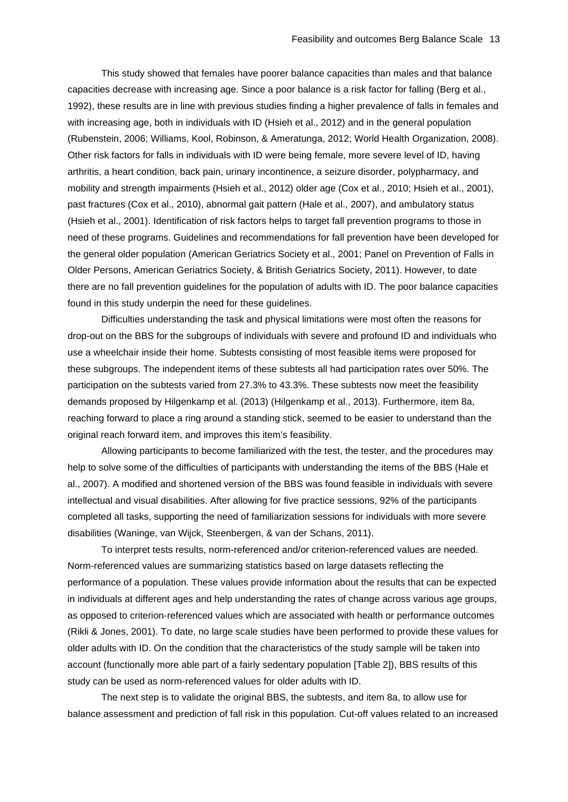This study showed that females have poorer balance capacities than males and that balance capacities decrease with increasing age. Since a poor balance is a risk factor for falling [\(Berg et al.,](#page-13-1)  [1992\)](#page-13-1), these results are in line with previous studies finding a higher prevalence of falls in females and with increasing age, both in individuals with ID [\(Hsieh et al., 2012\)](#page-15-0) and in the general population [\(Rubenstein, 2006;](#page-15-12) [Williams, Kool, Robinson, & Ameratunga, 2012;](#page-16-2) [World Health Organization, 2008\)](#page-16-3). Other risk factors for falls in individuals with ID were being female, more severe level of ID, having arthritis, a heart condition, back pain, urinary incontinence, a seizure disorder, polypharmacy, and mobility and strength impairments [\(Hsieh et al., 2012\)](#page-15-0) older age [\(Cox et al., 2010;](#page-14-0) [Hsieh et al., 2001\)](#page-15-2), past fractures [\(Cox et al., 2010\)](#page-14-0), abnormal gait pattern [\(Hale et al., 2007\)](#page-14-1), and ambulatory status [\(Hsieh et al., 2001\)](#page-15-2). Identification of risk factors helps to target fall prevention programs to those in need of these programs. Guidelines and recommendations for fall prevention have been developed for the general older population [\(American Geriatrics Society et al., 2001;](#page-13-6) [Panel on Prevention of Falls in](#page-15-13)  [Older Persons, American Geriatrics Society, & British Geriatrics Society, 2011\)](#page-15-13). However, to date there are no fall prevention guidelines for the population of adults with ID. The poor balance capacities found in this study underpin the need for these guidelines.

Difficulties understanding the task and physical limitations were most often the reasons for drop-out on the BBS for the subgroups of individuals with severe and profound ID and individuals who use a wheelchair inside their home. Subtests consisting of most feasible items were proposed for these subgroups. The independent items of these subtests all had participation rates over 50%. The participation on the subtests varied from 27.3% to 43.3%. These subtests now meet the feasibility demands proposed by Hilgenkamp et al. (2013) [\(Hilgenkamp et al., 2013\)](#page-15-10). Furthermore, item 8a, reaching forward to place a ring around a standing stick, seemed to be easier to understand than the original reach forward item, and improves this item's feasibility.

Allowing participants to become familiarized with the test, the tester, and the procedures may help to solve some of the difficulties of participants with understanding the items of the BBS [\(Hale et](#page-14-1)  [al., 2007\)](#page-14-1). A modified and shortened version of the BBS was found feasible in individuals with severe intellectual and visual disabilities. After allowing for five practice sessions, 92% of the participants completed all tasks, supporting the need of familiarization sessions for individuals with more severe disabilities [\(Waninge, van Wijck, Steenbergen, & van der Schans, 2011\)](#page-15-14).

To interpret tests results, norm-referenced and/or criterion-referenced values are needed. Norm-referenced values are summarizing statistics based on large datasets reflecting the performance of a population. These values provide information about the results that can be expected in individuals at different ages and help understanding the rates of change across various age groups, as opposed to criterion-referenced values which are associated with health or performance outcomes [\(Rikli & Jones, 2001\)](#page-15-15). To date, no large scale studies have been performed to provide these values for older adults with ID. On the condition that the characteristics of the study sample will be taken into account (functionally more able part of a fairly sedentary population [Table 2]), BBS results of this study can be used as norm-referenced values for older adults with ID.

The next step is to validate the original BBS, the subtests, and item 8a, to allow use for balance assessment and prediction of fall risk in this population. Cut-off values related to an increased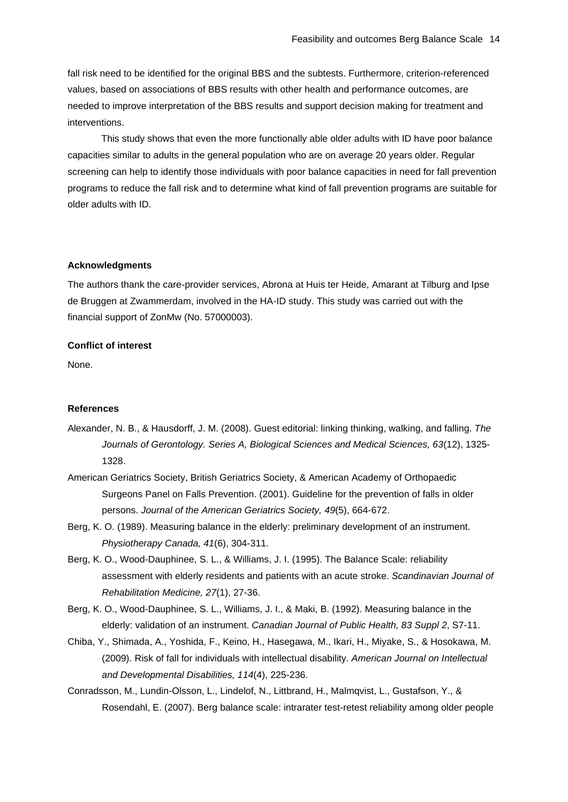fall risk need to be identified for the original BBS and the subtests. Furthermore, criterion-referenced values, based on associations of BBS results with other health and performance outcomes, are needed to improve interpretation of the BBS results and support decision making for treatment and interventions.

This study shows that even the more functionally able older adults with ID have poor balance capacities similar to adults in the general population who are on average 20 years older. Regular screening can help to identify those individuals with poor balance capacities in need for fall prevention programs to reduce the fall risk and to determine what kind of fall prevention programs are suitable for older adults with ID.

## **Acknowledgments**

The authors thank the care-provider services, Abrona at Huis ter Heide, Amarant at Tilburg and Ipse de Bruggen at Zwammerdam, involved in the HA-ID study. This study was carried out with the financial support of ZonMw (No. 57000003).

## **Conflict of interest**

None.

### **References**

- <span id="page-13-5"></span>Alexander, N. B., & Hausdorff, J. M. (2008). Guest editorial: linking thinking, walking, and falling. *The Journals of Gerontology. Series A, Biological Sciences and Medical Sciences, 63*(12), 1325- 1328.
- <span id="page-13-6"></span>American Geriatrics Society, British Geriatrics Society, & American Academy of Orthopaedic Surgeons Panel on Falls Prevention. (2001). Guideline for the prevention of falls in older persons. *Journal of the American Geriatrics Society, 49*(5), 664-672.
- <span id="page-13-4"></span>Berg, K. O. (1989). Measuring balance in the elderly: preliminary development of an instrument. *Physiotherapy Canada, 41*(6), 304-311.
- <span id="page-13-2"></span>Berg, K. O., Wood-Dauphinee, S. L., & Williams, J. I. (1995). The Balance Scale: reliability assessment with elderly residents and patients with an acute stroke. *Scandinavian Journal of Rehabilitation Medicine, 27*(1), 27-36.
- <span id="page-13-1"></span>Berg, K. O., Wood-Dauphinee, S. L., Williams, J. I., & Maki, B. (1992). Measuring balance in the elderly: validation of an instrument. *Canadian Journal of Public Health, 83 Suppl 2*, S7-11.
- <span id="page-13-0"></span>Chiba, Y., Shimada, A., Yoshida, F., Keino, H., Hasegawa, M., Ikari, H., Miyake, S., & Hosokawa, M. (2009). Risk of fall for individuals with intellectual disability. *American Journal on Intellectual and Developmental Disabilities, 114*(4), 225-236.
- <span id="page-13-3"></span>Conradsson, M., Lundin-Olsson, L., Lindelof, N., Littbrand, H., Malmqvist, L., Gustafson, Y., & Rosendahl, E. (2007). Berg balance scale: intrarater test-retest reliability among older people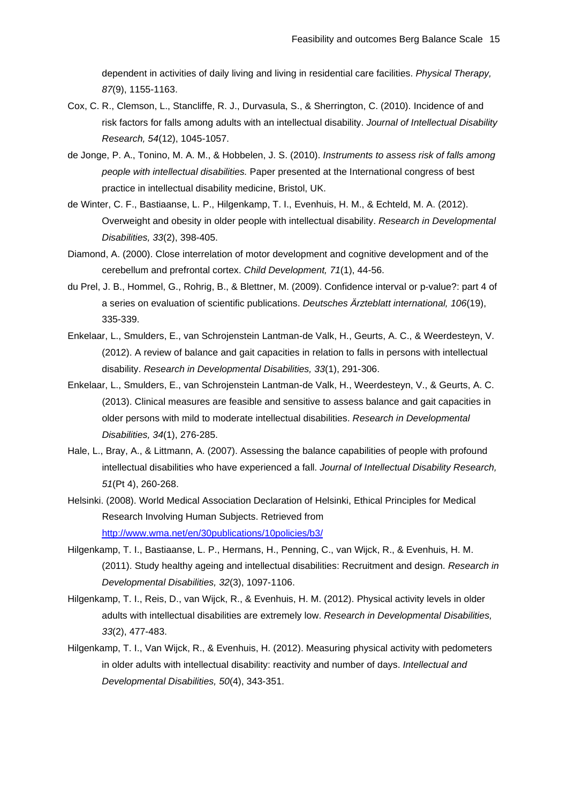dependent in activities of daily living and living in residential care facilities. *Physical Therapy, 87*(9), 1155-1163.

- <span id="page-14-0"></span>Cox, C. R., Clemson, L., Stancliffe, R. J., Durvasula, S., & Sherrington, C. (2010). Incidence of and risk factors for falls among adults with an intellectual disability. *Journal of Intellectual Disability Research, 54*(12), 1045-1057.
- <span id="page-14-3"></span>de Jonge, P. A., Tonino, M. A. M., & Hobbelen, J. S. (2010). *Instruments to assess risk of falls among people with intellectual disabilities.* Paper presented at the International congress of best practice in intellectual disability medicine, Bristol, UK.
- <span id="page-14-7"></span>de Winter, C. F., Bastiaanse, L. P., Hilgenkamp, T. I., Evenhuis, H. M., & Echteld, M. A. (2012). Overweight and obesity in older people with intellectual disability. *Research in Developmental Disabilities, 33*(2), 398-405.
- <span id="page-14-11"></span>Diamond, A. (2000). Close interrelation of motor development and cognitive development and of the cerebellum and prefrontal cortex. *Child Development, 71*(1), 44-56.
- <span id="page-14-10"></span>du Prel, J. B., Hommel, G., Rohrig, B., & Blettner, M. (2009). Confidence interval or p-value?: part 4 of a series on evaluation of scientific publications. *Deutsches Ärzteblatt international, 106*(19), 335-339.
- <span id="page-14-2"></span>Enkelaar, L., Smulders, E., van Schrojenstein Lantman-de Valk, H., Geurts, A. C., & Weerdesteyn, V. (2012). A review of balance and gait capacities in relation to falls in persons with intellectual disability. *Research in Developmental Disabilities, 33*(1), 291-306.
- <span id="page-14-4"></span>Enkelaar, L., Smulders, E., van Schrojenstein Lantman-de Valk, H., Weerdesteyn, V., & Geurts, A. C. (2013). Clinical measures are feasible and sensitive to assess balance and gait capacities in older persons with mild to moderate intellectual disabilities. *Research in Developmental Disabilities, 34*(1), 276-285.
- <span id="page-14-1"></span>Hale, L., Bray, A., & Littmann, A. (2007). Assessing the balance capabilities of people with profound intellectual disabilities who have experienced a fall. *Journal of Intellectual Disability Research, 51*(Pt 4), 260-268.
- <span id="page-14-6"></span>Helsinki. (2008). World Medical Association Declaration of Helsinki, Ethical Principles for Medical Research Involving Human Subjects. Retrieved from <http://www.wma.net/en/30publications/10policies/b3/>
- <span id="page-14-5"></span>Hilgenkamp, T. I., Bastiaanse, L. P., Hermans, H., Penning, C., van Wijck, R., & Evenhuis, H. M. (2011). Study healthy ageing and intellectual disabilities: Recruitment and design. *Research in Developmental Disabilities, 32*(3), 1097-1106.
- <span id="page-14-8"></span>Hilgenkamp, T. I., Reis, D., van Wijck, R., & Evenhuis, H. M. (2012). Physical activity levels in older adults with intellectual disabilities are extremely low. *Research in Developmental Disabilities, 33*(2), 477-483.
- <span id="page-14-9"></span>Hilgenkamp, T. I., Van Wijck, R., & Evenhuis, H. (2012). Measuring physical activity with pedometers in older adults with intellectual disability: reactivity and number of days. *Intellectual and Developmental Disabilities, 50*(4), 343-351.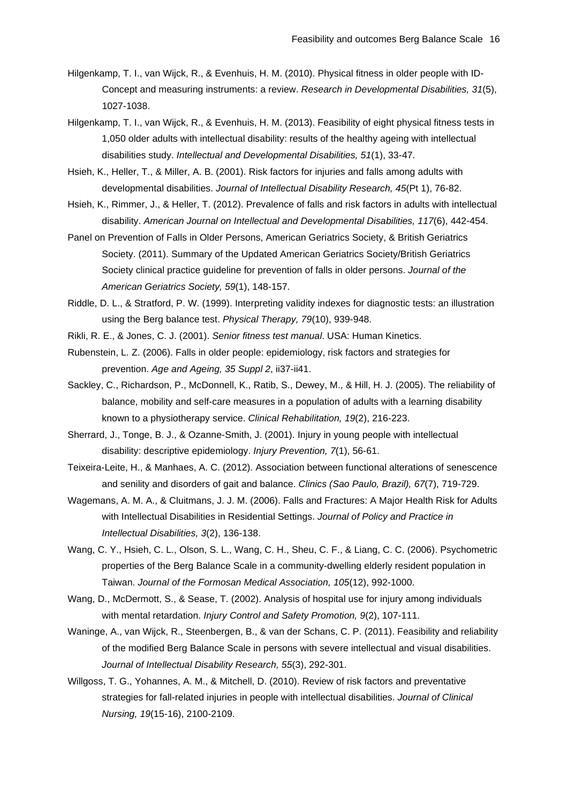- <span id="page-15-6"></span>Hilgenkamp, T. I., van Wijck, R., & Evenhuis, H. M. (2010). Physical fitness in older people with ID-Concept and measuring instruments: a review. *Research in Developmental Disabilities, 31*(5), 1027-1038.
- <span id="page-15-10"></span>Hilgenkamp, T. I., van Wijck, R., & Evenhuis, H. M. (2013). Feasibility of eight physical fitness tests in 1,050 older adults with intellectual disability: results of the healthy ageing with intellectual disabilities study. *Intellectual and Developmental Disabilities, 51*(1), 33-47.
- <span id="page-15-2"></span>Hsieh, K., Heller, T., & Miller, A. B. (2001). Risk factors for injuries and falls among adults with developmental disabilities. *Journal of Intellectual Disability Research, 45*(Pt 1), 76-82.
- <span id="page-15-0"></span>Hsieh, K., Rimmer, J., & Heller, T. (2012). Prevalence of falls and risk factors in adults with intellectual disability. *American Journal on Intellectual and Developmental Disabilities, 117*(6), 442-454.
- <span id="page-15-13"></span>Panel on Prevention of Falls in Older Persons, American Geriatrics Society, & British Geriatrics Society. (2011). Summary of the Updated American Geriatrics Society/British Geriatrics Society clinical practice guideline for prevention of falls in older persons. *Journal of the American Geriatrics Society, 59*(1), 148-157.
- <span id="page-15-7"></span>Riddle, D. L., & Stratford, P. W. (1999). Interpreting validity indexes for diagnostic tests: an illustration using the Berg balance test. *Physical Therapy, 79*(10), 939-948.
- <span id="page-15-15"></span>Rikli, R. E., & Jones, C. J. (2001). *Senior fitness test manual*. USA: Human Kinetics.
- <span id="page-15-12"></span>Rubenstein, L. Z. (2006). Falls in older people: epidemiology, risk factors and strategies for prevention. *Age and Ageing, 35 Suppl 2*, ii37-ii41.
- <span id="page-15-9"></span>Sackley, C., Richardson, P., McDonnell, K., Ratib, S., Dewey, M., & Hill, H. J. (2005). The reliability of balance, mobility and self-care measures in a population of adults with a learning disability known to a physiotherapy service. *Clinical Rehabilitation, 19*(2), 216-223.
- <span id="page-15-1"></span>Sherrard, J., Tonge, B. J., & Ozanne-Smith, J. (2001). Injury in young people with intellectual disability: descriptive epidemiology. *Injury Prevention, 7*(1), 56-61.
- <span id="page-15-11"></span>Teixeira-Leite, H., & Manhaes, A. C. (2012). Association between functional alterations of senescence and senility and disorders of gait and balance. *Clinics (Sao Paulo, Brazil), 67*(7), 719-729.
- <span id="page-15-3"></span>Wagemans, A. M. A., & Cluitmans, J. J. M. (2006). Falls and Fractures: A Major Health Risk for Adults with Intellectual Disabilities in Residential Settings. *Journal of Policy and Practice in Intellectual Disabilities, 3*(2), 136-138.
- <span id="page-15-8"></span>Wang, C. Y., Hsieh, C. L., Olson, S. L., Wang, C. H., Sheu, C. F., & Liang, C. C. (2006). Psychometric properties of the Berg Balance Scale in a community-dwelling elderly resident population in Taiwan. *Journal of the Formosan Medical Association, 105*(12), 992-1000.
- <span id="page-15-5"></span>Wang, D., McDermott, S., & Sease, T. (2002). Analysis of hospital use for injury among individuals with mental retardation. *Injury Control and Safety Promotion, 9*(2), 107-111.
- <span id="page-15-14"></span>Waninge, A., van Wijck, R., Steenbergen, B., & van der Schans, C. P. (2011). Feasibility and reliability of the modified Berg Balance Scale in persons with severe intellectual and visual disabilities. *Journal of Intellectual Disability Research, 55*(3), 292-301.
- <span id="page-15-4"></span>Willgoss, T. G., Yohannes, A. M., & Mitchell, D. (2010). Review of risk factors and preventative strategies for fall-related injuries in people with intellectual disabilities. *Journal of Clinical Nursing, 19*(15-16), 2100-2109.